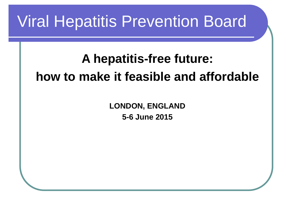#### Viral Hepatitis Prevention Board

#### **A hepatitis-free future: how to make it feasible and affordable**

**LONDON, ENGLAND 5-6 June 2015**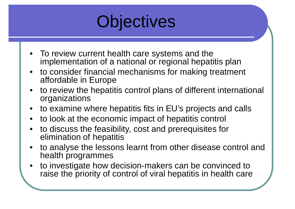

- To review current health care systems and the implementation of a national or regional hepatitis plan
- • to consider financial mechanisms for making treatment affordable in Europe
- • to review the hepatitis control plans of different international organizations
- to examine where hepatitis fits in EU's projects and calls
- to look at the economic impact of hepatitis control
- • to discuss the feasibility, cost and prerequisites for elimination of hepatitis
- • to analyse the lessons learnt from other disease control and health programmes
- • to investigate how decision-makers can be convinced to raise the priority of control of viral hepatitis in health care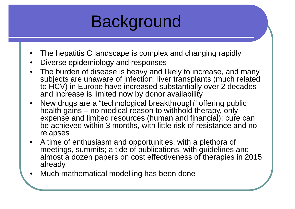

- •The hepatitis C landscape is complex and changing rapidly
- •Diverse epidemiology and responses
- The burden of disease is heavy and likely to increase, and many subjects are unaware of infection; liver transplants (much related to HCV) in Europe have increased substantially over 2 decades and increase is limited now by donor availability
- • New drugs are a "technological breakthrough" offering public health gains – no medical reason to withhold therapy, only expense and limited resources (human and financial); cure can be achieved within 3 months, with little risk of resistance and no relapses
- A time of enthusiasm and opportunities, with a plethora of meetings, summits; a tide of publications, with guidelines and almost a dozen papers on cost effectiveness of therapies in 2015 already
- •Much mathematical modelling has been done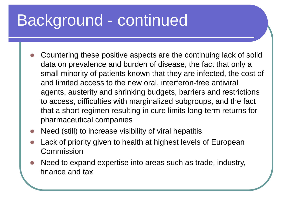# Background - continued

- $\bigcirc$  Countering these positive aspects are the continuing lack of solid data on prevalence and burden of disease, the fact that only a small minority of patients known that they are infected, the cost of and limited access to the new oral, interferon-free antiviral agents, austerity and shrinking budgets, barriers and restrictions to access, difficulties with marginalized subgroups, and the fact that a short regimen resulting in cure limits long-term returns for pharmaceutical companies
- Need (still) to increase visibility of viral hepatitis
- $\bullet$  Lack of priority given to health at highest levels of European **Commission**
- $\bullet$  Need to expand expertise into areas such as trade, industry, finance and tax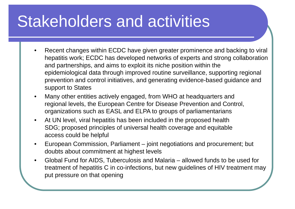### Stakeholders and activities

- • Recent changes within ECDC have given greater prominence and backing to viral hepatitis work; ECDC has developed networks of experts and strong collaboration and partnerships, and aims to exploit its niche position within the epidemiological data through improved routine surveillance, supporting regional prevention and control initiatives, and generating evidence-based guidance and support to States
- • Many other entities actively engaged, from WHO at headquarters and regional levels, the European Centre for Disease Prevention and Control, organizations such as EASL and ELPA to groups of parliamentarians
- • At UN level, viral hepatitis has been included in the proposed health SDG; proposed principles of universal health coverage and equitable access could be helpful
- • European Commission, Parliament – joint negotiations and procurement; but doubts about commitment at highest levels
- • Global Fund for AIDS, Tuberculosis and Malaria – allowed funds to be used for treatment of hepatitis C in co-infections, but new guidelines of HIV treatment may put pressure on that opening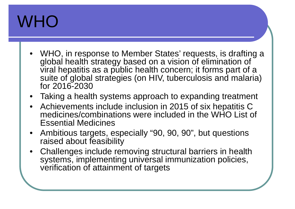# WHO

- • WHO, in response to Member States' requests, is drafting a global health strategy based on a vision of elimination of viral hepatitis as a public health concern; it forms part of a suite of global strategies (on HIV, tuberculosis and malaria) for 2016-2030
- Taking a health systems approach to expanding treatment
- Achievements include inclusion in 2015 of six hepatitis C medicines/combinations were included in the WHO List of Essential Medicines
- $\bullet$  Ambitious targets, especially "90, 90, 90", but questions raised about feasibility
- Challenges include removing structural barriers in health systems, implementing universal immunization policies, verification of attainment of targets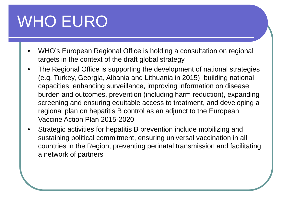# WHO EURO

- • WHO's European Regional Office is holding a consultation on regional targets in the context of the draft global strategy
- • The Regional Office is supporting the development of national strategies (e.g. Turkey, Georgia, Albania and Lithuania in 2015), building national capacities, enhancing surveillance, improving information on disease burden and outcomes, prevention (including harm reduction), expanding screening and ensuring equitable access to treatment, and developing a regional plan on hepatitis B control as an adjunct to the European Vaccine Action Plan 2015-2020
- • Strategic activities for hepatitis B prevention include mobilizing and sustaining political commitment, ensuring universal vaccination in all countries in the Region, preventing perinatal transmission and facilitating a network of partners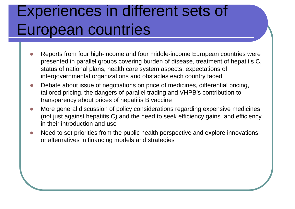#### Experiences in different sets of European countries

- $\Box$  Reports from four high-income and four middle-income European countries were presented in parallel groups covering burden of disease, treatment of hepatitis C, status of national plans, health care system aspects, expectations of intergovernmental organizations and obstacles each country faced
- $\bigcirc$  Debate about issue of negotiations on price of medicines, differential pricing, tailored pricing, the dangers of parallel trading and VHPB's contribution to transparency about prices of hepatitis B vaccine
- $\Box$  More general discussion of policy considerations regarding expensive medicines (not just against hepatitis C) and the need to seek efficiency gains and efficiency in their introduction and use
- $\Box$  Need to set priorities from the public health perspective and explore innovations or alternatives in financing models and strategies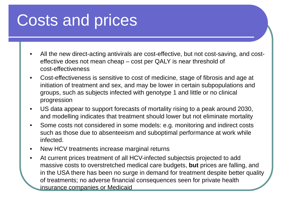## Costs and prices

- • All the new direct-acting antivirals are cost-effective, but not cost-saving, and costeffective does not mean cheap – cost per QALY is near threshold of cost-effectiveness
- $\bullet$  Cost-effectiveness is sensitive to cost of medicine, stage of fibrosis and age at initiation of treatment and sex, and may be lower in certain subpopulations and groups, such as subjects infected with genotype 1 and little or no clinical progression
- $\bullet$  US data appear to support forecasts of mortality rising to a peak around 2030, and modelling indicates that treatment should lower but not eliminate mortality
- $\bullet$  Some costs not considered in some models: e.g. monitoring and indirect costs such as those due to absenteeism and suboptimal performance at work while infected.
- $\bullet$ New HCV treatments increase marginal returns
- $\bullet$  At current prices treatment of all HCV-infected subjectsis projected to add massive costs to overstretched medical care budgets, **but** prices are falling, and in the USA there has been no surge in demand for treatment despite better quality of treatments; no adverse financial consequences seen for private health insurance companies or Medicaid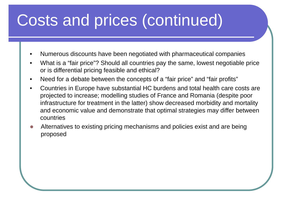# Costs and prices (continued)

- •Numerous discounts have been negotiated with pharmaceutical companies
- • What is a "fair price"? Should all countries pay the same, lowest negotiable price or is differential pricing feasible and ethical?
- •Need for a debate between the concepts of a "fair price" and "fair profits"
- • Countries in Europe have substantial HC burdens and total health care costs are projected to increase; modelling studies of France and Romania (despite poor infrastructure for treatment in the latter) show decreased morbidity and mortality and economic value and demonstrate that optimal strategies may differ between countries
- $\Box$  Alternatives to existing pricing mechanisms and policies exist and are being proposed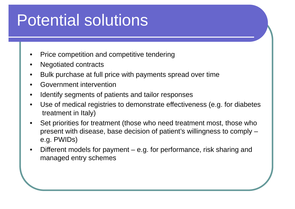# Potential solutions

- •Price competition and competitive tendering
- •Negotiated contracts
- •Bulk purchase at full price with payments spread over time
- •Government intervention
- •Identify segments of patients and tailor responses
- • Use of medical registries to demonstrate effectiveness (e.g. for diabetes treatment in Italy)
- • Set priorities for treatment (those who need treatment most, those who present with disease, base decision of patient's willingness to comply – e.g. PWIDs)
- • Different models for payment – e.g. for performance, risk sharing and managed entry schemes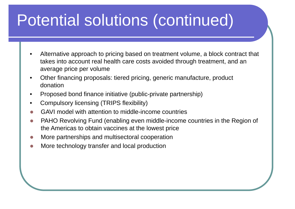# Potential solutions (continued)

- • Alternative approach to pricing based on treatment volume, a block contract that takes into account real health care costs avoided through treatment, and an average price per volume
- • Other financing proposals: tiered pricing, generic manufacture, product donation
- •Proposed bond finance initiative (public-private partnership)
- •Compulsory licensing (TRIPS flexibility)
- $\Box$ GAVI model with attention to middle-income countries
- $\Box$  PAHO Revolving Fund (enabling even middle-income countries in the Region of the Americas to obtain vaccines at the lowest price
- $\Box$ More partnerships and multisectoral cooperation
- $\Box$ More technology transfer and local production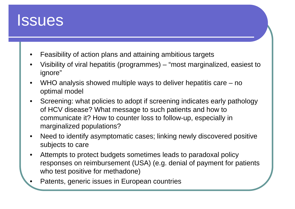

- •Feasibility of action plans and attaining ambitious targets
- • Visibility of viral hepatitis (programmes) – "most marginalized, easiest to ignore"
- • WHO analysis showed multiple ways to deliver hepatitis care – no optimal model
- • Screening: what policies to adopt if screening indicates early pathology of HCV disease? What message to such patients and how to communicate it? How to counter loss to follow-up, especially in marginalized populations?
- $\bullet$  Need to identify asymptomatic cases; linking newly discovered positive subjects to care
- • Attempts to protect budgets sometimes leads to paradoxal policy responses on reimbursement (USA) (e.g. denial of payment for patients who test positive for methadone)
- •Patents, generic issues in European countries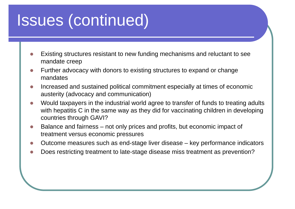## Issues (continued)

- $\Box$  Existing structures resistant to new funding mechanisms and reluctant to see mandate creep
- $\Box$  Further advocacy with donors to existing structures to expand or change mandates
- Increased and sustained political commitment especially at times of economic austerity (advocacy and communication)
- $\overline{\phantom{0}}$  Would taxpayers in the industrial world agree to transfer of funds to treating adults with hepatitis C in the same way as they did for vaccinating children in developing countries through GAVI?
- $\overline{\mathcal{L}}$  Balance and fairness – not only prices and profits, but economic impact of treatment versus economic pressures
- $\Box$ Outcome measures such as end-stage liver disease – key performance indicators
- $\Box$ Does restricting treatment to late-stage disease miss treatment as prevention?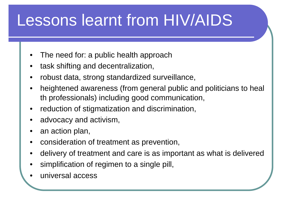# Lessons learnt from HIV/AIDS

- •The need for: a public health approach
- •task shifting and decentralization,
- •robust data, strong standardized surveillance,
- • heightened awareness (from general public and politicians to heal th professionals) including good communication,
- •reduction of stigmatization and discrimination,
- •advocacy and activism,
- •an action plan,
- •consideration of treatment as prevention,
- •delivery of treatment and care is as important as what is delivered
- •simplification of regimen to a single pill,
- •universal access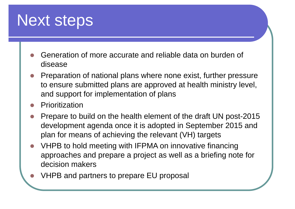#### Next steps

- $\bigcirc$  Generation of more accurate and reliable data on burden of disease
- $\bullet$  Preparation of national plans where none exist, further pressure to ensure submitted plans are approved at health ministry level, and support for implementation of plans
- Prioritization
- $\bullet$  Prepare to build on the health element of the draft UN post-2015 development agenda once it is adopted in September 2015 and plan for means of achieving the relevant (VH) targets
- $\bullet$  VHPB to hold meeting with IFPMA on innovative financing approaches and prepare a project as well as a briefing note for decision makers
- VHPB and partners to prepare EU proposal